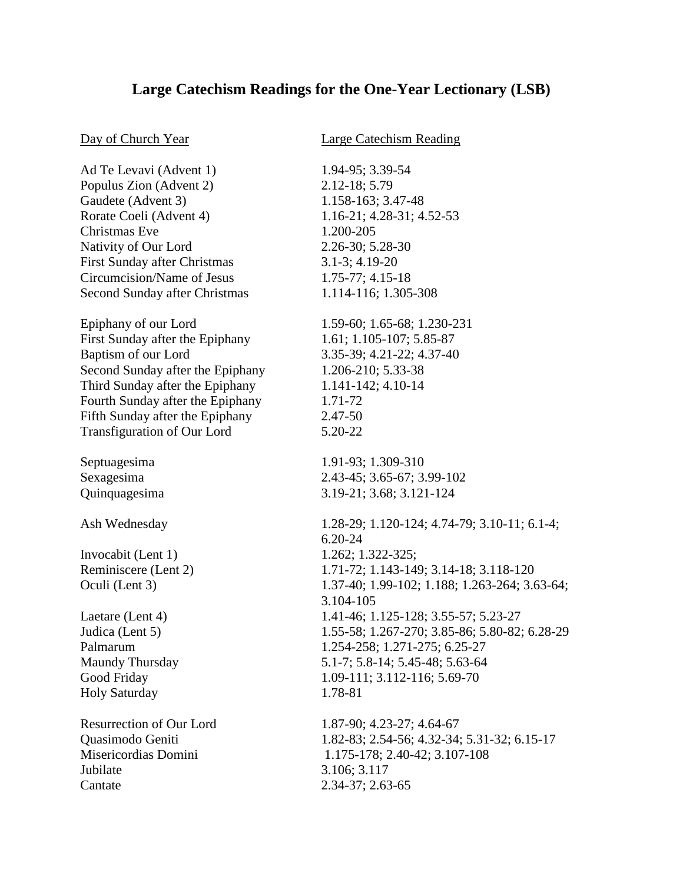## **Large Catechism Readings for the One-Year Lectionary (LSB)**

## Day of Church Year Large Catechism Reading

Ad Te Levavi (Advent 1) 1.94-95; 3.39-54 Populus Zion (Advent 2) 2.12-18; 5.79 Gaudete (Advent 3) 1.158-163; 3.47-48 Rorate Coeli (Advent 4) 1.16-21; 4.28-31; 4.52-53 Christmas Eve 1.200-205 Nativity of Our Lord 2.26-30; 5.28-30 First Sunday after Christmas 3.1-3; 4.19-20 Circumcision/Name of Jesus 1.75-77; 4.15-18 Second Sunday after Christmas 1.114-116; 1.305-308 Epiphany of our Lord 1.59-60; 1.65-68; 1.230-231 First Sunday after the Epiphany 1.61; 1.105-107; 5.85-87 Baptism of our Lord 3.35-39; 4.21-22; 4.37-40 Second Sunday after the Epiphany 1.206-210; 5.33-38 Third Sunday after the Epiphany 1.141-142; 4.10-14 Fourth Sunday after the Epiphany 1.71-72 Fifth Sunday after the Epiphany 2.47-50 Transfiguration of Our Lord 5.20-22 Septuagesima 1.91-93; 1.309-310 Sexagesima 2.43-45; 3.65-67; 3.99-102 Quinquagesima 3.19-21; 3.68; 3.121-124 Ash Wednesday 1.28-29; 1.120-124; 4.74-79; 3.10-11; 6.1-4; 6.20-24 Invocabit (Lent 1) 1.262; 1.322-325; Reminiscere (Lent 2) 1.71-72; 1.143-149; 3.14-18; 3.118-120 Oculi (Lent 3) 1.37-40; 1.99-102; 1.188; 1.263-264; 3.63-64; 3.104-105 Laetare (Lent 4) 1.41-46; 1.125-128; 3.55-57; 5.23-27 Judica (Lent 5) 1.55-58; 1.267-270; 3.85-86; 5.80-82; 6.28-29 Palmarum 1.254-258; 1.271-275; 6.25-27 Maundy Thursday 5.1-7; 5.8-14; 5.45-48; 5.63-64 Good Friday 1.09-111; 3.112-116; 5.69-70 Holy Saturday 1.78-81 Resurrection of Our Lord 1.87-90; 4.23-27; 4.64-67 Quasimodo Geniti 1.82-83; 2.54-56; 4.32-34; 5.31-32; 6.15-17 Misericordias Domini 1.175-178; 2.40-42; 3.107-108 Jubilate 3.106; 3.117 Cantate 2.34-37; 2.63-65